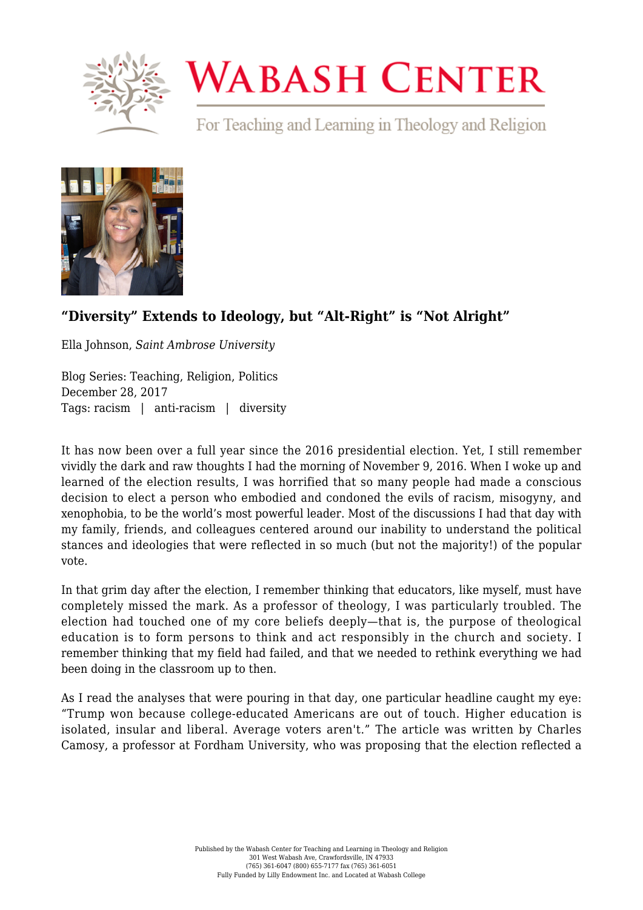

## **WABASH CENTER**

For Teaching and Learning in Theology and Religion



## **["Diversity" Extends to Ideology, but "Alt-Right" is "Not Alright"](https://www.wabashcenter.wabash.edu/2017/12/diversity-extends-ideology-alt-right-not-alright/)**

Ella Johnson, *Saint Ambrose University*

Blog Series: Teaching, Religion, Politics December 28, 2017 Tags: racism | anti-racism | diversity

It has now been over a full year since the 2016 presidential election. Yet, I still remember vividly the dark and raw thoughts I had the morning of November 9, 2016. When I woke up and learned of the election results, I was horrified that so many people had made a conscious decision to elect a person who embodied and condoned the evils of racism, misogyny, and xenophobia, to be the world's most powerful leader. Most of the discussions I had that day with my family, friends, and colleagues centered around our inability to understand the political stances and ideologies that were reflected in so much (but not the majority!) of the popular vote.

In that grim day after the election, I remember thinking that educators, like myself, must have completely missed the mark. As a professor of theology, I was particularly troubled. The election had touched one of my core beliefs deeply—that is, the purpose of theological education is to form persons to think and act responsibly in the church and society. I remember thinking that my field had failed, and that we needed to rethink everything we had been doing in the classroom up to then.

As I read the analyses that were pouring in that day, one particular headline caught my eye: "Trump won because college-educated Americans are out of touch. Higher education is isolated, insular and liberal. Average voters aren't." The article was written by Charles Camosy, a professor at Fordham University, who was proposing that the election reflected a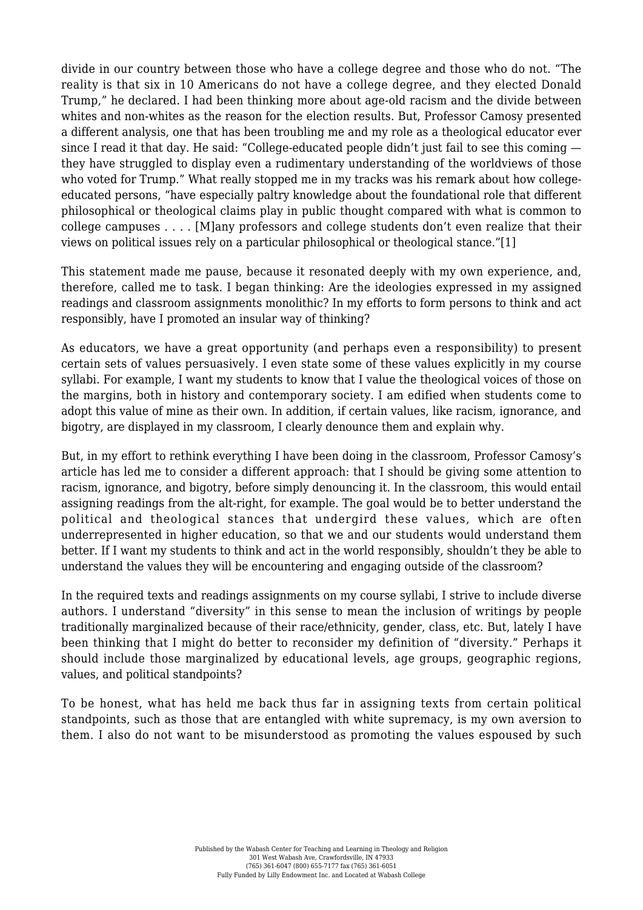divide in our country between those who have a college degree and those who do not. "The reality is that six in 10 Americans do not have a college degree, and they elected Donald Trump," he declared. I had been thinking more about age-old racism and the divide between whites and non-whites as the reason for the election results. But, Professor Camosy presented a different analysis, one that has been troubling me and my role as a theological educator ever since I read it that day. He said: "College-educated people didn't just fail to see this coming they have struggled to display even a rudimentary understanding of the worldviews of those who voted for Trump." What really stopped me in my tracks was his remark about how collegeeducated persons, "have especially paltry knowledge about the foundational role that different philosophical or theological claims play in public thought compared with what is common to college campuses . . . . [M]any professors and college students don't even realize that their views on political issues rely on a particular philosophical or theological stance."[\[1\]](#page-2-0)

<span id="page-1-0"></span>This statement made me pause, because it resonated deeply with my own experience, and, therefore, called me to task. I began thinking: Are the ideologies expressed in my assigned readings and classroom assignments monolithic? In my efforts to form persons to think and act responsibly, have I promoted an insular way of thinking?

As educators, we have a great opportunity (and perhaps even a responsibility) to present certain sets of values persuasively. I even state some of these values explicitly in my course syllabi. For example, I want my students to know that I value the theological voices of those on the margins, both in history and contemporary society. I am edified when students come to adopt this value of mine as their own. In addition, if certain values, like racism, ignorance, and bigotry, are displayed in my classroom, I clearly denounce them and explain why.

But, in my effort to rethink everything I have been doing in the classroom, Professor Camosy's article has led me to consider a different approach: that I should be giving some attention to racism, ignorance, and bigotry, before simply denouncing it. In the classroom, this would entail assigning readings from the alt-right, for example. The goal would be to better understand the political and theological stances that undergird these values, which are often underrepresented in higher education, so that we and our students would understand them better. If I want my students to think and act in the world responsibly, shouldn't they be able to understand the values they will be encountering and engaging outside of the classroom?

In the required texts and readings assignments on my course syllabi, I strive to include diverse authors. I understand "diversity" in this sense to mean the inclusion of writings by people traditionally marginalized because of their race/ethnicity, gender, class, etc. But, lately I have been thinking that I might do better to reconsider my definition of "diversity." Perhaps it should include those marginalized by educational levels, age groups, geographic regions, values, and political standpoints?

To be honest, what has held me back thus far in assigning texts from certain political standpoints, such as those that are entangled with white supremacy, is my own aversion to them. I also do not want to be misunderstood as promoting the values espoused by such